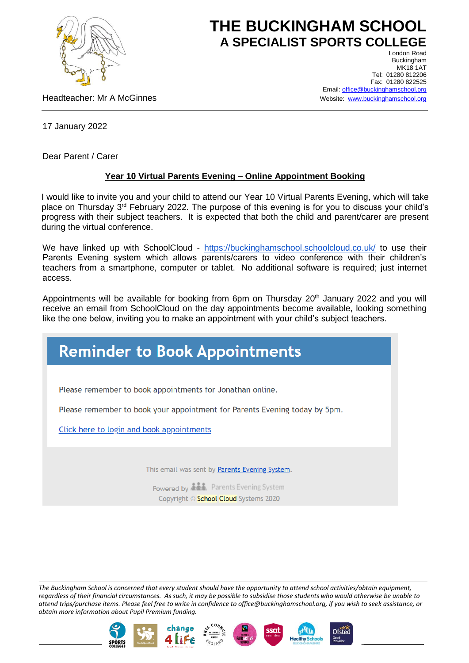

## **THE BUCKINGHAM SCHOOL A SPECIALIST SPORTS COLLEGE** London Road

Headteacher: Mr A McGinnes

Buckingham **MK18 1AT** Tel: 01280 812206 Fax: 01280 822525 Email[: office@buckinghamschool.org](mailto:office@buckinghamschool.org) Website: [www.buckinghamschool.org](http://www.buckinghamschool.org/)

17 January 2022

Dear Parent / Carer

## **Year 10 Virtual Parents Evening – Online Appointment Booking**

I would like to invite you and your child to attend our Year 10 Virtual Parents Evening, which will take place on Thursday 3<sup>rd</sup> February 2022. The purpose of this evening is for you to discuss your child's progress with their subject teachers. It is expected that both the child and parent/carer are present during the virtual conference.

We have linked up with SchoolCloud - <https://buckinghamschool.schoolcloud.co.uk/> to use their Parents Evening system which allows parents/carers to video conference with their children's teachers from a smartphone, computer or tablet. No additional software is required; just internet access.

Appointments will be available for booking from 6pm on Thursday 20<sup>th</sup> January 2022 and you will receive an email from SchoolCloud on the day appointments become available, looking something like the one below, inviting you to make an appointment with your child's subject teachers.

## **Reminder to Book Appointments**

Please remember to book appointments for Jonathan online.

Please remember to book your appointment for Parents Evening today by 5pm.

Click here to login and book appointments

This email was sent by Parents Evening System.

Powered by **ALL** Parents Evening System Copyright © School Cloud Systems 2020

*The Buckingham School is concerned that every student should have the opportunity to attend school activities/obtain equipment, regardless of their financial circumstances. As such, it may be possible to subsidise those students who would otherwise be unable to attend trips/purchase items. Please feel free to write in confidence to office@buckinghamschool.org, if you wish to seek assistance, or obtain more information about Pupil Premium funding.*